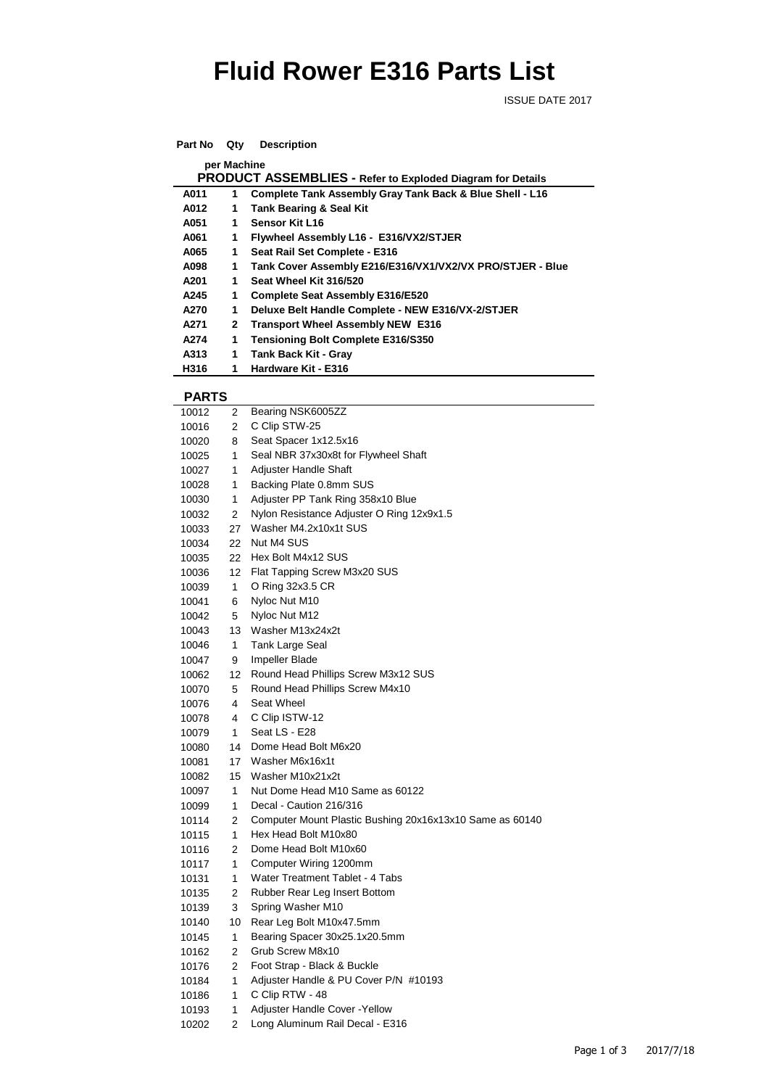## **Fluid Rower E316 Parts List**

ISSUE DATE 2017

| Part No                                                    | Qty | <b>Description</b>                                        |  |  |  |  |
|------------------------------------------------------------|-----|-----------------------------------------------------------|--|--|--|--|
| per Machine                                                |     |                                                           |  |  |  |  |
| PRODUCT ASSEMBLIES - Refer to Exploded Diagram for Details |     |                                                           |  |  |  |  |
| A011                                                       | 1   | Complete Tank Assembly Gray Tank Back & Blue Shell - L16  |  |  |  |  |
| A012                                                       | 1   | <b>Tank Bearing &amp; Seal Kit</b>                        |  |  |  |  |
| A051                                                       | 1   | Sensor Kit L16                                            |  |  |  |  |
| A061                                                       | 1   | Flywheel Assembly L16 - E316/VX2/STJER                    |  |  |  |  |
| A065                                                       | 1   | Seat Rail Set Complete - E316                             |  |  |  |  |
| A098                                                       | 1   | Tank Cover Assembly E216/E316/VX1/VX2/VX PRO/STJER - Blue |  |  |  |  |
| A201                                                       | 1   | Seat Wheel Kit 316/520                                    |  |  |  |  |
| A245                                                       | 1   | <b>Complete Seat Assembly E316/E520</b>                   |  |  |  |  |
| A270                                                       | 1   | Deluxe Belt Handle Complete - NEW E316/VX-2/STJER         |  |  |  |  |
| A271                                                       | 2   | <b>Transport Wheel Assembly NEW E316</b>                  |  |  |  |  |
| A274                                                       | 1   | <b>Tensioning Bolt Complete E316/S350</b>                 |  |  |  |  |
| A313                                                       | 1   | Tank Back Kit - Gray                                      |  |  |  |  |
| H316                                                       | 1   | Hardware Kit - E316                                       |  |  |  |  |

## **PARTS**

| 10012 | 2               | Bearing NSK6005ZZ                                        |
|-------|-----------------|----------------------------------------------------------|
| 10016 | 2               | C Clip STW-25                                            |
| 10020 | 8               | Seat Spacer 1x12.5x16                                    |
| 10025 | 1               | Seal NBR 37x30x8t for Flywheel Shaft                     |
| 10027 | 1               | Adjuster Handle Shaft                                    |
| 10028 | 1               | Backing Plate 0.8mm SUS                                  |
| 10030 | 1               | Adjuster PP Tank Ring 358x10 Blue                        |
| 10032 | $\overline{2}$  | Nylon Resistance Adjuster O Ring 12x9x1.5                |
| 10033 | 27              | Washer M4.2x10x1t SUS                                    |
| 10034 | 22              | Nut M4 SUS                                               |
| 10035 | 22              | Hex Bolt M4x12 SUS                                       |
| 10036 | 12 <sup>°</sup> | Flat Tapping Screw M3x20 SUS                             |
| 10039 | 1               | O Ring 32x3.5 CR                                         |
| 10041 | 6               | Nyloc Nut M10                                            |
| 10042 | 5               | Nyloc Nut M12                                            |
| 10043 | 13              | Washer M13x24x2t                                         |
| 10046 | 1               | Tank Large Seal                                          |
| 10047 | 9               | Impeller Blade                                           |
| 10062 | 12              | Round Head Phillips Screw M3x12 SUS                      |
| 10070 | 5               | Round Head Phillips Screw M4x10                          |
| 10076 | 4               | Seat Wheel                                               |
| 10078 | 4               | C Clip ISTW-12                                           |
| 10079 | $\mathbf{1}$    | Seat LS - E28                                            |
| 10080 | 14              | Dome Head Bolt M6x20                                     |
| 10081 | 17              | Washer M6x16x1t                                          |
| 10082 | 15              | Washer M10x21x2t                                         |
| 10097 | 1               | Nut Dome Head M10 Same as 60122                          |
| 10099 | $\mathbf{1}$    | Decal - Caution 216/316                                  |
| 10114 | $\overline{2}$  | Computer Mount Plastic Bushing 20x16x13x10 Same as 60140 |
| 10115 | $\mathbf{1}$    | Hex Head Bolt M10x80                                     |
| 10116 | $\overline{2}$  | Dome Head Bolt M10x60                                    |
| 10117 | 1               | Computer Wiring 1200mm                                   |
| 10131 | 1               | Water Treatment Tablet - 4 Tabs                          |
| 10135 | 2               | Rubber Rear Leg Insert Bottom                            |
| 10139 | 3               | Spring Washer M10                                        |
| 10140 | 10              | Rear Leg Bolt M10x47.5mm                                 |
| 10145 | 1               | Bearing Spacer 30x25.1x20.5mm                            |
| 10162 | 2               | Grub Screw M8x10                                         |
| 10176 | 2               | Foot Strap - Black & Buckle                              |
| 10184 | 1               | Adjuster Handle & PU Cover P/N #10193                    |
| 10186 | 1               | C Clip RTW - 48                                          |
| 10193 | 1               | Adjuster Handle Cover - Yellow                           |
| 10202 | 2               | Long Aluminum Rail Decal - E316                          |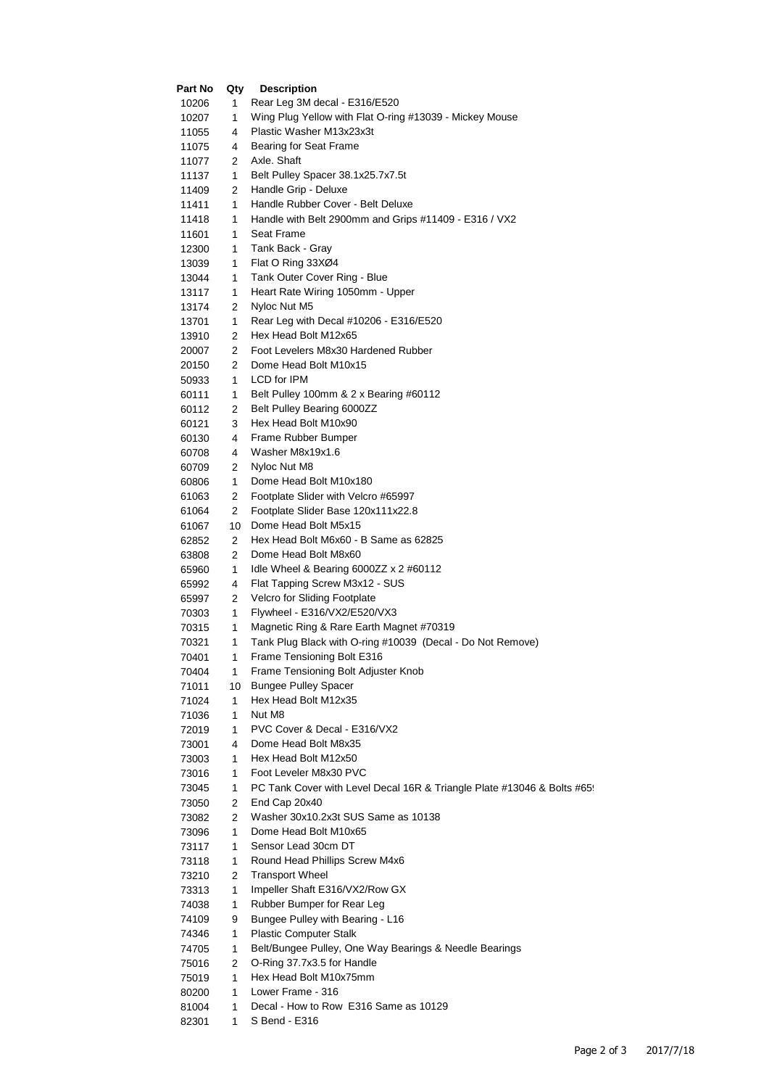| Part No        | Qty     | <b>Description</b>                                                      |
|----------------|---------|-------------------------------------------------------------------------|
| 10206          | 1       | Rear Leg 3M decal - E316/E520                                           |
| 10207          | 1       | Wing Plug Yellow with Flat O-ring #13039 - Mickey Mouse                 |
| 11055          | 4       | Plastic Washer M13x23x3t                                                |
| 11075          | 4       | Bearing for Seat Frame                                                  |
| 11077          | 2       | Axle. Shaft                                                             |
| 11137          | 1       | Belt Pulley Spacer 38.1x25.7x7.5t                                       |
| 11409          | 2       | Handle Grip - Deluxe                                                    |
| 11411          | 1       | Handle Rubber Cover - Belt Deluxe                                       |
| 11418          | 1       | Handle with Belt 2900mm and Grips #11409 - E316 / VX2                   |
| 11601          | 1       | Seat Frame                                                              |
| 12300          | 1       | Tank Back - Gray                                                        |
| 13039          | 1       | Flat O Ring 33XØ4                                                       |
| 13044          | 1       | Tank Outer Cover Ring - Blue                                            |
| 13117          | 1       | Heart Rate Wiring 1050mm - Upper                                        |
| 13174          | 2       | Nyloc Nut M5                                                            |
| 13701          | 1       | Rear Leg with Decal #10206 - E316/E520                                  |
| 13910          | 2       | Hex Head Bolt M12x65                                                    |
| 20007          | 2       | Foot Levelers M8x30 Hardened Rubber                                     |
| 20150          | 2       | Dome Head Bolt M10x15                                                   |
| 50933          | 1       | LCD for IPM                                                             |
| 60111          | 1       | Belt Pulley 100mm & 2 x Bearing #60112                                  |
| 60112          | 2       | Belt Pulley Bearing 6000ZZ                                              |
| 60121          | 3       | Hex Head Bolt M10x90                                                    |
| 60130          | 4       | Frame Rubber Bumper                                                     |
| 60708          | 4       | Washer M8x19x1.6                                                        |
| 60709          | 2       | Nyloc Nut M8                                                            |
| 60806          | 1       | Dome Head Bolt M10x180                                                  |
| 61063          | 2       | Footplate Slider with Velcro #65997                                     |
| 61064          | 2       | Footplate Slider Base 120x111x22.8                                      |
| 61067          | 10      | Dome Head Bolt M5x15                                                    |
| 62852          | 2       | Hex Head Bolt M6x60 - B Same as 62825                                   |
| 63808          | 2       | Dome Head Bolt M8x60                                                    |
| 65960          | 1       | Idle Wheel & Bearing 6000ZZ $\times$ 2 #60112                           |
| 65992          | 4       | Flat Tapping Screw M3x12 - SUS                                          |
| 65997          | 2       | Velcro for Sliding Footplate                                            |
| 70303          | 1       | Flywheel - E316/VX2/E520/VX3                                            |
| 70315          | 1       | Magnetic Ring & Rare Earth Magnet #70319                                |
| 70321          | 1       | Tank Plug Black with O-ring #10039 (Decal - Do Not Remove)              |
| 70401          | 1       | Frame Tensioning Bolt E316<br>Frame Tensioning Bolt Adjuster Knob       |
| 70404          | 1<br>10 | <b>Bungee Pulley Spacer</b>                                             |
| 71011<br>71024 | 1       | Hex Head Bolt M12x35                                                    |
| 71036          | 1       | Nut M8                                                                  |
| 72019          | 1       | PVC Cover & Decal - E316/VX2                                            |
| 73001          | 4       | Dome Head Bolt M8x35                                                    |
| 73003          | 1       | Hex Head Bolt M12x50                                                    |
| 73016          | 1       | Foot Leveler M8x30 PVC                                                  |
| 73045          | 1       | PC Tank Cover with Level Decal 16R & Triangle Plate #13046 & Bolts #65! |
| 73050          | 2       | End Cap 20x40                                                           |
| 73082          | 2       | Washer 30x10.2x3t SUS Same as 10138                                     |
| 73096          | 1       | Dome Head Bolt M10x65                                                   |
| 73117          | 1       | Sensor Lead 30cm DT                                                     |
| 73118          | 1       | Round Head Phillips Screw M4x6                                          |
| 73210          | 2       | <b>Transport Wheel</b>                                                  |
| 73313          | 1       | Impeller Shaft E316/VX2/Row GX                                          |
| 74038          | 1       | Rubber Bumper for Rear Leg                                              |
| 74109          | 9       | Bungee Pulley with Bearing - L16                                        |
| 74346          | 1       | <b>Plastic Computer Stalk</b>                                           |
| 74705          | 1       | Belt/Bungee Pulley, One Way Bearings & Needle Bearings                  |
| 75016          | 2       | O-Ring 37.7x3.5 for Handle                                              |
| 75019          | 1       | Hex Head Bolt M10x75mm                                                  |
| 80200          | 1       | Lower Frame - 316                                                       |
| 81004          | 1       | Decal - How to Row E316 Same as 10129                                   |
| 82301          | 1       | S Bend - E316                                                           |